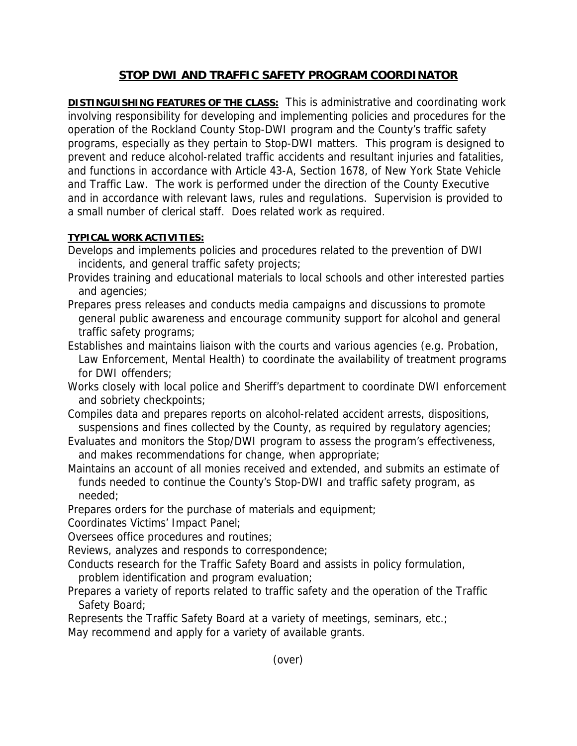## **STOP DWI AND TRAFFIC SAFETY PROGRAM COORDINATOR**

**DISTINGUISHING FEATURES OF THE CLASS:** This is administrative and coordinating work involving responsibility for developing and implementing policies and procedures for the operation of the Rockland County Stop-DWI program and the County's traffic safety programs, especially as they pertain to Stop-DWI matters. This program is designed to prevent and reduce alcohol-related traffic accidents and resultant injuries and fatalities, and functions in accordance with Article 43-A, Section 1678, of New York State Vehicle and Traffic Law. The work is performed under the direction of the County Executive and in accordance with relevant laws, rules and regulations. Supervision is provided to a small number of clerical staff. Does related work as required.

## **TYPICAL WORK ACTIVITIES:**

- Develops and implements policies and procedures related to the prevention of DWI incidents, and general traffic safety projects;
- Provides training and educational materials to local schools and other interested parties and agencies;
- Prepares press releases and conducts media campaigns and discussions to promote general public awareness and encourage community support for alcohol and general traffic safety programs;
- Establishes and maintains liaison with the courts and various agencies (e.g. Probation, Law Enforcement, Mental Health) to coordinate the availability of treatment programs for DWI offenders;
- Works closely with local police and Sheriff's department to coordinate DWI enforcement and sobriety checkpoints;
- Compiles data and prepares reports on alcohol-related accident arrests, dispositions, suspensions and fines collected by the County, as required by regulatory agencies;
- Evaluates and monitors the Stop/DWI program to assess the program's effectiveness, and makes recommendations for change, when appropriate;
- Maintains an account of all monies received and extended, and submits an estimate of funds needed to continue the County's Stop-DWI and traffic safety program, as needed;
- Prepares orders for the purchase of materials and equipment;
- Coordinates Victims' Impact Panel;
- Oversees office procedures and routines;
- Reviews, analyzes and responds to correspondence;
- Conducts research for the Traffic Safety Board and assists in policy formulation,
- problem identification and program evaluation;
- Prepares a variety of reports related to traffic safety and the operation of the Traffic Safety Board;
- Represents the Traffic Safety Board at a variety of meetings, seminars, etc.; May recommend and apply for a variety of available grants.